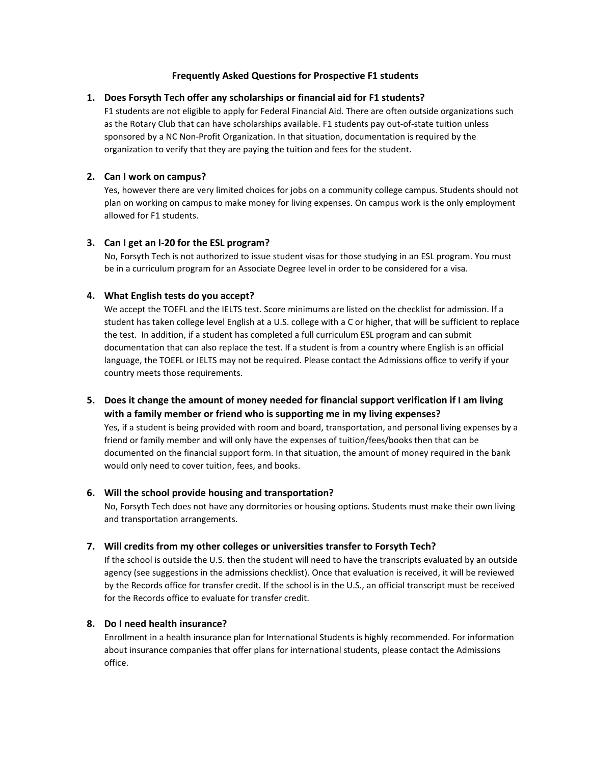# **Frequently Asked Questions for Prospective F1 students**

### **1. Does Forsyth Tech offer any scholarships or financial aid for F1 students?**

F1 students are not eligible to apply for Federal Financial Aid. There are often outside organizations such as the Rotary Club that can have scholarships available. F1 students pay out-of-state tuition unless sponsored by a NC Non-Profit Organization. In that situation, documentation is required by the organization to verify that they are paying the tuition and fees for the student.

### **2. Can I work on campus?**

Yes, however there are very limited choices for jobs on a community college campus. Students should not plan on working on campus to make money for living expenses. On campus work is the only employment allowed for F1 students.

# **3. Can I get an I-20 for the ESL program?**

No, Forsyth Tech is not authorized to issue student visas for those studying in an ESL program. You must be in a curriculum program for an Associate Degree level in order to be considered for a visa.

# **4. What English tests do you accept?**

We accept the TOEFL and the IELTS test. Score minimums are listed on the checklist for admission. If a student has taken college level English at a U.S. college with a C or higher, that will be sufficient to replace the test. In addition, if a student has completed a full curriculum ESL program and can submit documentation that can also replace the test. If a student is from a country where English is an official language, the TOEFL or IELTS may not be required. Please contact the Admissions office to verify if your country meets those requirements.

# **5. Does it change the amount of money needed for financial support verification if I am living with a family member or friend who is supporting me in my living expenses?**

Yes, if a student is being provided with room and board, transportation, and personal living expenses by a friend or family member and will only have the expenses of tuition/fees/books then that can be documented on the financial support form. In that situation, the amount of money required in the bank would only need to cover tuition, fees, and books.

#### **6. Will the school provide housing and transportation?**

No, Forsyth Tech does not have any dormitories or housing options. Students must make their own living and transportation arrangements.

# **7. Will credits from my other colleges or universities transfer to Forsyth Tech?**

If the school is outside the U.S. then the student will need to have the transcripts evaluated by an outside agency (see suggestions in the admissions checklist). Once that evaluation is received, it will be reviewed by the Records office for transfer credit. If the school is in the U.S., an official transcript must be received for the Records office to evaluate for transfer credit.

#### **8. Do I need health insurance?**

Enrollment in a health insurance plan for International Students is highly recommended. For information about insurance companies that offer plans for international students, please contact the Admissions office.